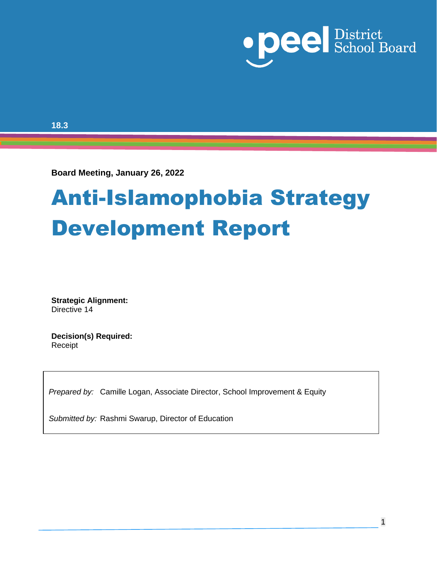

**18.3**

**Board Meeting, January 26, 2022** 

# Anti-Islamophobia Strategy Development Report

**Strategic Alignment:** Directive 14

**Decision(s) Required:**  Receipt

*Prepared by:* Camille Logan, Associate Director, School Improvement & Equity

*Submitted by:* Rashmi Swarup, Director of Education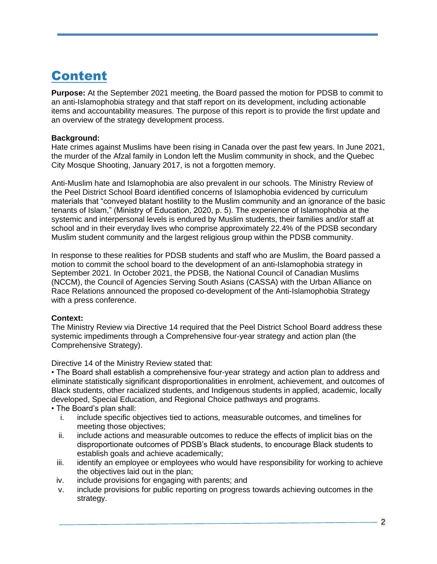### Content

**Purpose:** At the September 2021 meeting, the Board passed the motion for PDSB to commit to an anti-Islamophobia strategy and that staff report on its development, including actionable items and accountability measures. The purpose of this report is to provide the first update and an overview of the strategy development process.

#### **Background:**

Hate crimes against Muslims have been rising in Canada over the past few years. In June 2021, the murder of the Afzal family in London left the Muslim community in shock, and the Quebec City Mosque Shooting, January 2017, is not a forgotten memory.

Anti-Muslim hate and Islamophobia are also prevalent in our schools. The Ministry Review of the Peel District School Board identified concerns of Islamophobia evidenced by curriculum materials that "conveyed blatant hostility to the Muslim community and an ignorance of the basic tenants of Islam," (Ministry of Education, 2020, p. 5). The experience of Islamophobia at the systemic and interpersonal levels is endured by Muslim students, their families and/or staff at school and in their everyday lives who comprise approximately 22.4% of the PDSB secondary Muslim student community and the largest religious group within the PDSB community.

In response to these realities for PDSB students and staff who are Muslim, the Board passed a motion to commit the school board to the development of an anti-Islamophobia strategy in September 2021. In October 2021, the PDSB, the National Council of Canadian Muslims (NCCM), the Council of Agencies Serving South Asians (CASSA) with the Urban Alliance on Race Relations announced the proposed co-development of the Anti-Islamophobia Strategy with a press conference.

#### **Context:**

The Ministry Review via Directive 14 required that the Peel District School Board address these systemic impediments through a Comprehensive four-year strategy and action plan (the Comprehensive Strategy).

Directive 14 of the Ministry Review stated that:

• The Board shall establish a comprehensive four-year strategy and action plan to address and eliminate statistically significant disproportionalities in enrolment, achievement, and outcomes of Black students, other racialized students, and Indigenous students in applied, academic, locally developed, Special Education, and Regional Choice pathways and programs.

• The Board's plan shall:

- i. include specific objectives tied to actions, measurable outcomes, and timelines for meeting those objectives;
- ii. include actions and measurable outcomes to reduce the effects of implicit bias on the disproportionate outcomes of PDSB's Black students, to encourage Black students to establish goals and achieve academically;
- iii. identify an employee or employees who would have responsibility for working to achieve the objectives laid out in the plan;
- iv. include provisions for engaging with parents; and
- v. include provisions for public reporting on progress towards achieving outcomes in the strategy.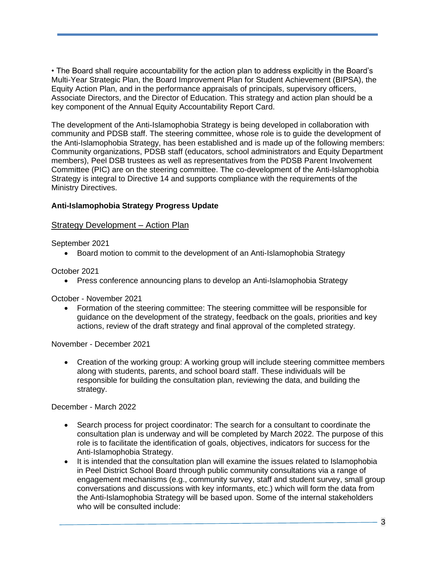• The Board shall require accountability for the action plan to address explicitly in the Board's Multi-Year Strategic Plan, the Board Improvement Plan for Student Achievement (BIPSA), the Equity Action Plan, and in the performance appraisals of principals, supervisory officers, Associate Directors, and the Director of Education. This strategy and action plan should be a key component of the Annual Equity Accountability Report Card.

The development of the Anti-Islamophobia Strategy is being developed in collaboration with community and PDSB staff. The steering committee, whose role is to guide the development of the Anti-Islamophobia Strategy, has been established and is made up of the following members: Community organizations, PDSB staff (educators, school administrators and Equity Department members), Peel DSB trustees as well as representatives from the PDSB Parent Involvement Committee (PIC) are on the steering committee. The co-development of the Anti-Islamophobia Strategy is integral to Directive 14 and supports compliance with the requirements of the Ministry Directives.

#### **Anti-Islamophobia Strategy Progress Update**

#### Strategy Development – Action Plan

September 2021

• Board motion to commit to the development of an Anti-Islamophobia Strategy

October 2021

• Press conference announcing plans to develop an Anti-Islamophobia Strategy

October - November 2021

• Formation of the steering committee: The steering committee will be responsible for guidance on the development of the strategy, feedback on the goals, priorities and key actions, review of the draft strategy and final approval of the completed strategy.

November - December 2021

• Creation of the working group: A working group will include steering committee members along with students, parents, and school board staff. These individuals will be responsible for building the consultation plan, reviewing the data, and building the strategy.

December - March 2022

- Search process for project coordinator: The search for a consultant to coordinate the consultation plan is underway and will be completed by March 2022. The purpose of this role is to facilitate the identification of goals, objectives, indicators for success for the Anti-Islamophobia Strategy.
- It is intended that the consultation plan will examine the issues related to Islamophobia in Peel District School Board through public community consultations via a range of engagement mechanisms (e.g., community survey, staff and student survey, small group conversations and discussions with key informants, etc.) which will form the data from the Anti-Islamophobia Strategy will be based upon. Some of the internal stakeholders who will be consulted include: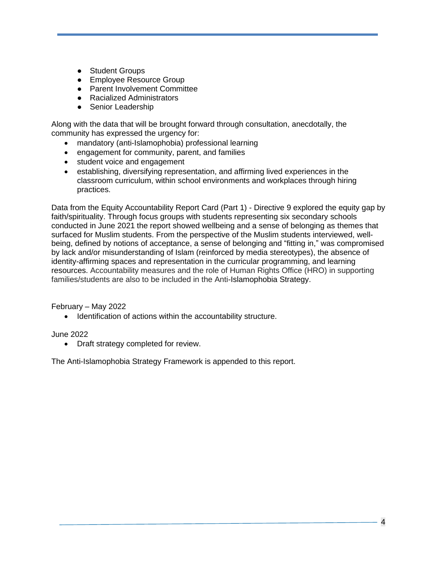- Student Groups
- Employee Resource Group
- Parent Involvement Committee
- Racialized Administrators
- Senior Leadership

Along with the data that will be brought forward through consultation, anecdotally, the community has expressed the urgency for:

- mandatory (anti-Islamophobia) professional learning
- engagement for community, parent, and families
- student voice and engagement
- establishing, diversifying representation, and affirming lived experiences in the classroom curriculum, within school environments and workplaces through hiring practices.

Data from the Equity Accountability Report Card (Part 1) - Directive 9 explored the equity gap by faith/spirituality. Through focus groups with students representing six secondary schools conducted in June 2021 the report showed wellbeing and a sense of belonging as themes that surfaced for Muslim students. From the perspective of the Muslim students interviewed, wellbeing, defined by notions of acceptance, a sense of belonging and "fitting in," was compromised by lack and/or misunderstanding of Islam (reinforced by media stereotypes), the absence of identity-affirming spaces and representation in the curricular programming, and learning resources. Accountability measures and the role of Human Rights Office (HRO) in supporting families/students are also to be included in the Anti-Islamophobia Strategy.

February – May 2022

• Identification of actions within the accountability structure.

June 2022

• Draft strategy completed for review.

The Anti-Islamophobia Strategy Framework is appended to this report.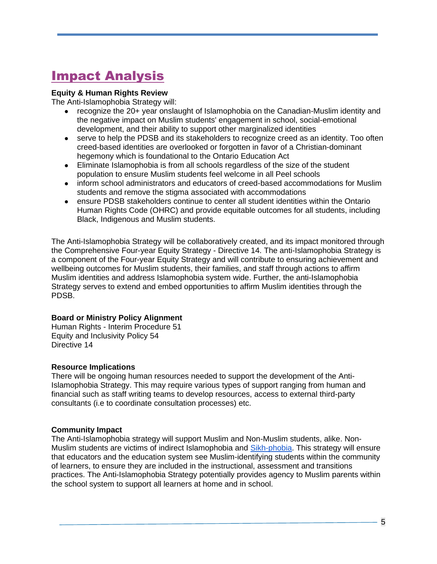# Impact Analysis

#### **Equity & Human Rights Review**

The Anti-Islamophobia Strategy will:

- recognize the 20+ year onslaught of Islamophobia on the Canadian-Muslim identity and the negative impact on Muslim students' engagement in school, social-emotional development, and their ability to support other marginalized identities
- serve to help the PDSB and its stakeholders to recognize creed as an identity. Too often creed-based identities are overlooked or forgotten in favor of a Christian-dominant hegemony which is foundational to the Ontario Education Act
- Eliminate Islamophobia is from all schools regardless of the size of the student population to ensure Muslim students feel welcome in all Peel schools
- inform school administrators and educators of creed-based accommodations for Muslim students and remove the stigma associated with accommodations
- ensure PDSB stakeholders continue to center all student identities within the Ontario Human Rights Code (OHRC) and provide equitable outcomes for all students, including Black, Indigenous and Muslim students.

The Anti-Islamophobia Strategy will be collaboratively created, and its impact monitored through the Comprehensive Four-year Equity Strategy - Directive 14. The anti-Islamophobia Strategy is a component of the Four-year Equity Strategy and will contribute to ensuring achievement and wellbeing outcomes for Muslim students, their families, and staff through actions to affirm Muslim identities and address Islamophobia system wide. Further, the anti-Islamophobia Strategy serves to extend and embed opportunities to affirm Muslim identities through the PDSB.

#### **Board or Ministry Policy Alignment**

Human Rights - Interim Procedure 51 Equity and Inclusivity Policy 54 Directive 14

#### **Resource Implications**

There will be ongoing human resources needed to support the development of the Anti-Islamophobia Strategy. This may require various types of support ranging from human and financial such as staff writing teams to develop resources, access to external third-party consultants (i.e to coordinate consultation processes) etc.

#### **Community Impact**

The Anti-Islamophobia strategy will support Muslim and Non-Muslim students, alike. NonMuslim stu[d](https://can01.safelinks.protection.outlook.com/?url=https%3A%2F%2Ftheconversation.com%2Fyoung-non-muslims-face-islamophobia-too-72302&data=04%7C01%7Cdonna.ford%40peelsb.com%7C2f08d34162a64a6e13fb08d9d14c9446%7Ca494743f7201494da452f48c5388c4c0%7C1%7C0%7C637770949092119623%7CUnknown%7CTWFpbGZsb3d8eyJWIjoiMC4wLjAwMDAiLCJQIjoiV2luMzIiLCJBTiI6Ik1haWwiLCJXVCI6Mn0%3D%7C3000&sdata=Y9Vtur82YWOL0xRXWi9sh3aLI3JpFiD%2BI4lcUBj5eUg%3D&reserved=0)ents are victims of indirect Islamophobia and [Sikh-phobia.](https://can01.safelinks.protection.outlook.com/?url=https%3A%2F%2Ftheconversation.com%2Fyoung-non-muslims-face-islamophobia-too-72302&data=04%7C01%7Cdonna.ford%40peelsb.com%7C2f08d34162a64a6e13fb08d9d14c9446%7Ca494743f7201494da452f48c5388c4c0%7C1%7C0%7C637770949092119623%7CUnknown%7CTWFpbGZsb3d8eyJWIjoiMC4wLjAwMDAiLCJQIjoiV2luMzIiLCJBTiI6Ik1haWwiLCJXVCI6Mn0%3D%7C3000&sdata=Y9Vtur82YWOL0xRXWi9sh3aLI3JpFiD%2BI4lcUBj5eUg%3D&reserved=0) This strategy will ensure that educators and the education system see Muslim-identifying students within the community of learners, to ensure they are included in the instructional, assessment and transitions practices. The Anti-Islamophobia Strategy potentially provides agency to Muslim parents within the school system to support all learners at home and in school.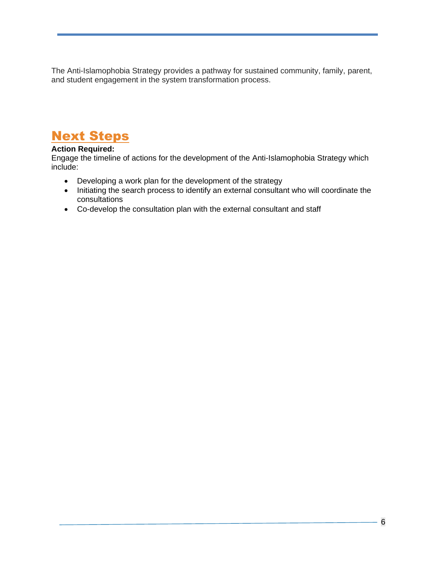The Anti-Islamophobia Strategy provides a pathway for sustained community, family, parent, and student engagement in the system transformation process.

### Next Steps

#### **Action Required:**

Engage the timeline of actions for the development of the Anti-Islamophobia Strategy which include:

- Developing a work plan for the development of the strategy
- Initiating the search process to identify an external consultant who will coordinate the consultations
- Co-develop the consultation plan with the external consultant and staff